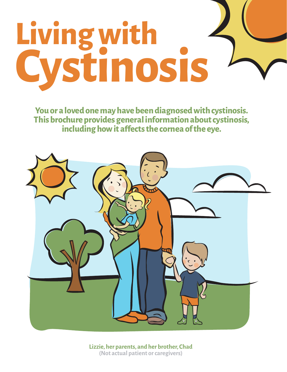# **Living with Cystinosis**

**You or a loved one may have been diagnosed with cystinosis. This brochure provides general information about cystinosis, including how it affects the cornea of the eye.** 



**Lizzie, her parents, and her brother, Chad (Not actual patient or caregivers)**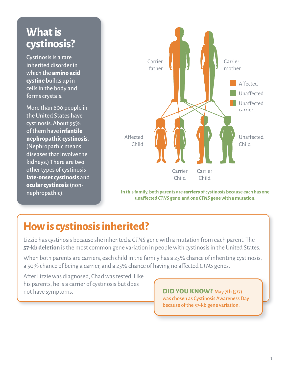# **What is cystinosis?**

Cystinosis is a rare inherited disorder in which the **amino acid cystine** builds up in cells in the body and forms crystals.

More than 600 people in the United States have cystinosis. About 95% of them have **infantile nephropathic cystinosis**. (Nephropathic means diseases that involve the kidneys.) There are two other types of cystinosis – **late-onset cystinosis** and **ocular cystinosis** (nonnephropathic).



**In this family, both parents are** carriers **of cystinosis because each has one unaffected** *CTNS* **gene and one** *CTNS* **gene with a mutation.**

# **How is cystinosis inherited?**

Lizzie has cystinosis because she inherited a *CTNS* gene with a mutation from each parent. The **57-kb deletion** is the most common gene variation in people with cystinosis in the United States.

When both parents are carriers, each child in the family has a 25% chance of inheriting cystinosis, a 50% chance of being a carrier, and a 25% chance of having no affected *CTNS* genes.

After Lizzie was diagnosed, Chad was tested. Like his parents, he is a carrier of cystinosis but does not have symptoms. **DID YOU KNOW?** May 7th (5/7)

#### was chosen as Cystinosis Awareness Day because of the 57-kb gene variation.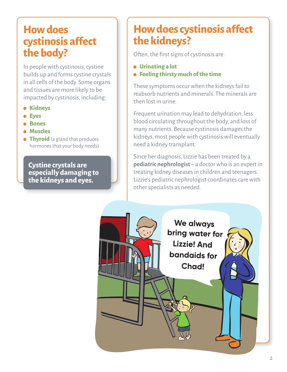#### **How does cystinosis affect the body?**

In people with cystinosis, cystine builds up and forms cystine crystals in all cells of the body. Some organs and tissues are more likely to be impacted by cystinosis, including:

- **g Kidneys**
- **g Eyes**
- **g Bones**
- **g Muscles**
- *<b>filturoid* (a gland that produces hormones that your body needs)

**Cystine crystals are especially damaging to the kidneys and eyes.**

# **How does cystinosis affect the kidneys?**

Often, the first signs of cystinosis are:

- **g Urinating a lot**
- **g Feeling thirsty much of the time**

These symptoms occur when the kidneys fail to reabsorb nutrients and minerals. The minerals are then lost in urine.

Frequent urination may lead to dehydration, less blood circulating throughout the body, and loss of many nutrients. Because cystinosis damages the kidneys, most people with cystinosis will eventually need a kidney transplant.

Since her diagnosis, Lizzie has been treated by a **pediatric nephrologist** – a doctor who is an expert in treating kidney diseases in children and teenagers. Lizzie's pediatric nephrologist coordinates care with other specialists as needed.

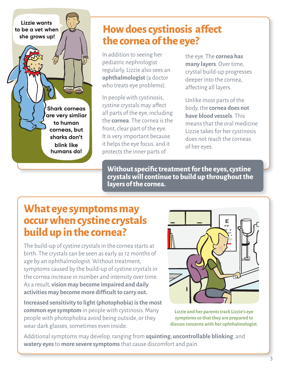**Shark corneas** are very simliar to human corneas, but sharks don't blink like humans do!

Lizzie wants to be a vet when she grows up!

#### **How does cystinosis affect the cornea of the eye?**

In addition to seeing her pediatric nephrologist regularly, Lizzie also sees an **ophthalmologist** (a doctor who treats eye problems).

In people with cystinosis, cystine crystals may affect all parts of the eye, including the **cornea**. The cornea is the front, clear part of the eye. It is very important because it helps the eye focus, and it protects the inner parts of

the eye. The **cornea has many layers**. Over time, crystal build-up progresses deeper into the cornea, affecting all layers.

Unlike most parts of the body, the **cornea does not have blood vessels**. This means that the oral medicine Lizzie takes for her cystinosis does not reach the corneas of her eyes.

**Without specific treatment for the eyes, cystine crystals will continue to build up throughout the layers of the cornea.**

# **What eye symptoms may occur when cystine crystals build up in the cornea?**

The build-up of cystine crystals in the cornea starts at birth. The crystals can be seen as early as 12 months of age by an ophthalmologist. Without treatment, symptoms caused by the build-up of cystine crystals in the cornea increase in number and intensity over time. As a result, **vision may become impaired and daily activities may become more difficult to carry out.**

**Increased sensitivity to light (photophobia) is the most common eye symptom** in people with cystinosis. Many people with photophobia avoid being outside, or they wear dark glasses, sometimes even inside.



**Lizzie and her parents track Lizzie's eye symptoms so that they are prepared to discuss concerns with her ophthalmologist.**

Additional symptoms may develop, ranging from **squinting, uncontrollable blinking**, and **watery eyes** to **more severe symptoms** that cause discomfort and pain.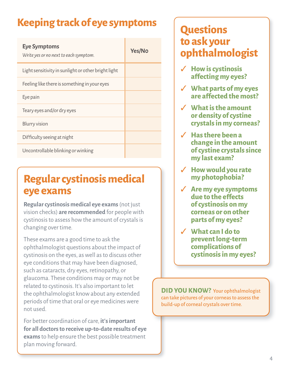# **Keeping track of eye symptoms**

| <b>Eye Symptoms</b><br>Write yes or no next to each symptom. | Yes/No |
|--------------------------------------------------------------|--------|
| Light sensitivity in sunlight or other bright light          |        |
| Feeling like there is something in your eyes                 |        |
| Eye pain                                                     |        |
| Teary eyes and/or dry eyes                                   |        |
| <b>Blurry vision</b>                                         |        |
| Difficulty seeing at night                                   |        |
| Uncontrollable blinking or winking                           |        |

# **Regular cystinosis medical eye exams**

**Regular cystinosis medical eye exams** (not just vision checks) **are recommended** for people with cystinosis to assess how the amount of crystals is changing over time.

These exams are a good time to ask the ophthalmologist questions about the impact of cystinosis on the eyes, as well as to discuss other eye conditions that may have been diagnosed, such as cataracts, dry eyes, retinopathy, or glaucoma. These conditions may or may not be related to cystinosis. It's also important to let the ophthalmologist know about any extended periods of time that oral or eye medicines were not used.

For better coordination of care, **it's important for all doctors to receive up-to-date results of eye exams** to help ensure the best possible treatment plan moving forward.

# **Questions to ask your ophthalmologist**

- ✓ **How is cystinosis affecting my eyes?**
- ✓ **What parts of my eyes are affected the most?**
- ✓ **What is the amount or density of cystine crystals in my corneas?**
- ✓ **Has there been a change in the amount of cystine crystals since my last exam?**
- ✓ **How would you rate my photophobia?**
- ✓ **Are my eye symptoms due to the effects of cystinosis on my corneas or on other parts of my eyes?**
- ✓ **What can I do to prevent long-term complications of cystinosis in my eyes?**

**DID YOU KNOW?** Your ophthalmologist can take pictures of your corneas to assess the build-up of corneal crystals over time.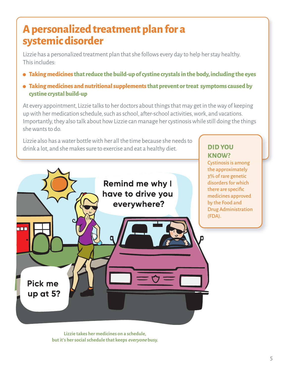# **A personalized treatment plan for a systemic disorder**

Lizzie has a personalized treatment plan that she follows every day to help her stay healthy. This includes:

- **g Taking medicines that reduce the build-up of cystine crystals in the body, including the eyes**
- **g Taking medicines and nutritional supplements that prevent or treat symptoms caused by cystine crystal build-up**

At every appointment, Lizzie talks to her doctors about things that may get in the way of keeping up with her medication schedule, such as school, after-school activities, work, and vacations. Importantly, they also talk about how Lizzie can manage her cystinosis while still doing the things she wants to do.

Lizzie also has a water bottle with her all the time because she needs to drink a lot, and she makes sure to exercise and eat a healthy diet.

#### **DID YOU KNOW?**

Cystinosis is among the approximately 3% of rare genetic disorders for which there are specific medicines approved by the Food and Drug Administration (FDA).



**Lizzie takes her medicines on a schedule, but it's her social schedule that keeps everyone busy.**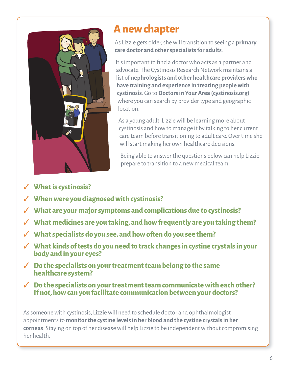

## **A new chapter**

As Lizzie gets older, she will transition to seeing a **primary care doctor and other specialists for adults**.

It's important to find a doctor who acts as a partner and advocate. The Cystinosis Research Network maintains a list of **nephrologists and other healthcare providers who have training and experience in treating people with cystinosis**. Go to **Doctors in Your Area (cystinosis.org)** where you can search by provider type and geographic location.

As a young adult, Lizzie will be learning more about cystinosis and how to manage it by talking to her current care team before transitioning to adult care. Over time she will start making her own healthcare decisions.

Being able to answer the questions below can help Lizzie prepare to transition to a new medical team.

- ✓ **What is cystinosis?**
- ✓ **When were you diagnosed with cystinosis?**
- ✓ **What are your major symptoms and complications due to cystinosis?**
- ✓ **What medicines are you taking, and how frequently are you taking them?**
- ✓ **What specialists do you see, and how often do you see them?**
- ✓ **What kinds of tests do you need to track changes in cystine crystals in your body and in your eyes?**
- ✓ **Do the specialists on your treatment team belong to the same healthcare system?**
- ✓ **Do the specialists on your treatment team communicate with each other? If not, how can you facilitate communication between your doctors?**

As someone with cystinosis, Lizzie will need to schedule doctor and ophthalmologist appointments to **monitor the cystine levels in her blood and the cystine crystals in her corneas**. Staying on top of her disease will help Lizzie to be independent without compromising her health.